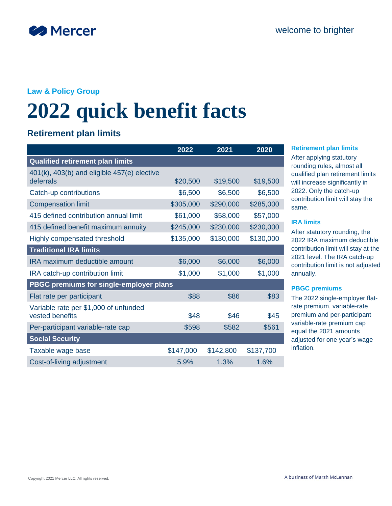

### **Law & Policy Group**

# **2022 quick benefit facts**

## **Retirement plan limits**

|                                                                 | 2022      | 2021      | 2020      |
|-----------------------------------------------------------------|-----------|-----------|-----------|
| <b>Qualified retirement plan limits</b>                         |           |           |           |
| $401(k)$ , $403(b)$ and eligible $457(e)$ elective<br>deferrals | \$20,500  | \$19,500  | \$19,500  |
|                                                                 |           |           |           |
| Catch-up contributions                                          | \$6,500   | \$6,500   | \$6,500   |
| <b>Compensation limit</b>                                       | \$305,000 | \$290,000 | \$285,000 |
| 415 defined contribution annual limit                           | \$61,000  | \$58,000  | \$57,000  |
| 415 defined benefit maximum annuity                             | \$245,000 | \$230,000 | \$230,000 |
| Highly compensated threshold                                    | \$135,000 | \$130,000 | \$130,000 |
| <b>Traditional IRA limits</b>                                   |           |           |           |
| <b>IRA maximum deductible amount</b>                            | \$6,000   | \$6,000   | \$6,000   |
| IRA catch-up contribution limit                                 | \$1,000   | \$1,000   | \$1,000   |
| PBGC premiums for single-employer plans                         |           |           |           |
| Flat rate per participant                                       | \$88      | \$86      | \$83      |
| Variable rate per \$1,000 of unfunded<br>vested benefits        | \$48      | \$46      | \$45      |
| Per-participant variable-rate cap                               | \$598     | \$582     | \$561     |
|                                                                 |           |           |           |
| <b>Social Security</b>                                          |           |           |           |
| Taxable wage base                                               | \$147,000 | \$142,800 | \$137,700 |
| Cost-of-living adjustment                                       | 5.9%      | 1.3%      | 1.6%      |

#### **2022 2021 2020 Retirement plan limits**

After applying statutory rounding rules, almost all qualified plan retirement limits will increase significantly in 2022. Only the catch-up contribution limit will stay the same.

#### **IRA limits**

After statutory rounding, the 2022 IRA maximum deductible contribution limit will stay at the 2021 level. The IRA catch-up contribution limit is not adjusted annually.

#### **PBGC premiums**

The 2022 single-employer flatrate premium, variable-rate premium and per-participant variable-rate premium cap equal the 2021 amounts adjusted for one year's wage inflation.